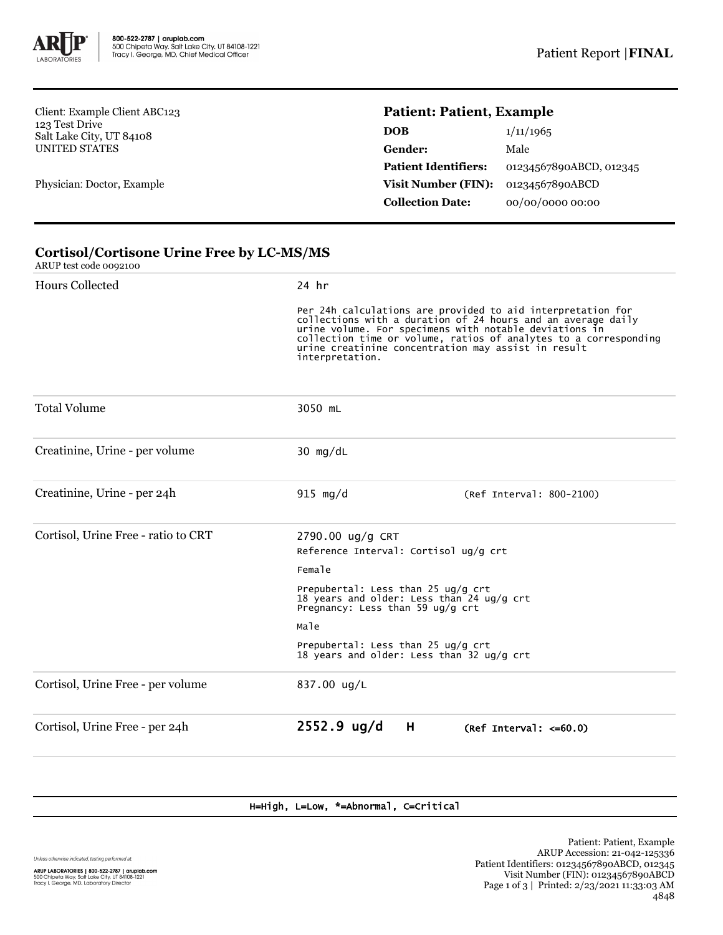

Client: Example Client ABC123 123 Test Drive Salt Lake City, UT 84108 UNITED STATES

Physician: Doctor, Example

## **Patient: Patient, Example**

| 1/11/1965               |
|-------------------------|
| Male                    |
| 01234567890ABCD, 012345 |
| 01234567890ABCD         |
| 00/00/0000 00:00        |
|                         |

## **Cortisol/Cortisone Urine Free by LC-MS/MS**

ARUP test code 0092100

| <b>Hours Collected</b>              | 24 hr                                                                                                                                                                                                                                                                                                                               |  |  |  |
|-------------------------------------|-------------------------------------------------------------------------------------------------------------------------------------------------------------------------------------------------------------------------------------------------------------------------------------------------------------------------------------|--|--|--|
|                                     | Per 24h calculations are provided to aid interpretation for<br>collections with a duration of 24 hours and an average daily<br>urine volume. For specimens with notable deviations in<br>collection time or volume, ratios of analytes to a corresponding<br>urine creatinine concentration may assist in result<br>interpretation. |  |  |  |
| <b>Total Volume</b>                 | 3050 mL                                                                                                                                                                                                                                                                                                                             |  |  |  |
| Creatinine, Urine - per volume      | 30 $mg/dL$                                                                                                                                                                                                                                                                                                                          |  |  |  |
| Creatinine, Urine - per 24h         | $915 \text{ mg/d}$<br>(Ref Interval: 800-2100)                                                                                                                                                                                                                                                                                      |  |  |  |
| Cortisol, Urine Free - ratio to CRT | 2790.00 ug/g CRT<br>Reference Interval: Cortisol ug/g crt<br>Female<br>Prepubertal: Less than 25 ug/g crt<br>18 years and older: Less than 24 ug/g crt<br>Pregnancy: Less than 59 ug/g crt                                                                                                                                          |  |  |  |
|                                     |                                                                                                                                                                                                                                                                                                                                     |  |  |  |
|                                     | Male                                                                                                                                                                                                                                                                                                                                |  |  |  |
|                                     | Prepubertal: Less than 25 ug/g crt<br>18 years and older: Less than 32 ug/g crt                                                                                                                                                                                                                                                     |  |  |  |
| Cortisol, Urine Free - per volume   | 837.00 ug/L                                                                                                                                                                                                                                                                                                                         |  |  |  |
| Cortisol, Urine Free - per 24h      | $2552.9$ ug/d<br>H<br>(Ref Interval: $\leq 60.0$ )                                                                                                                                                                                                                                                                                  |  |  |  |
|                                     |                                                                                                                                                                                                                                                                                                                                     |  |  |  |

## H=High, L=Low, \*=Abnormal, C=Critical

Unless otherwise indicated, testing performed at: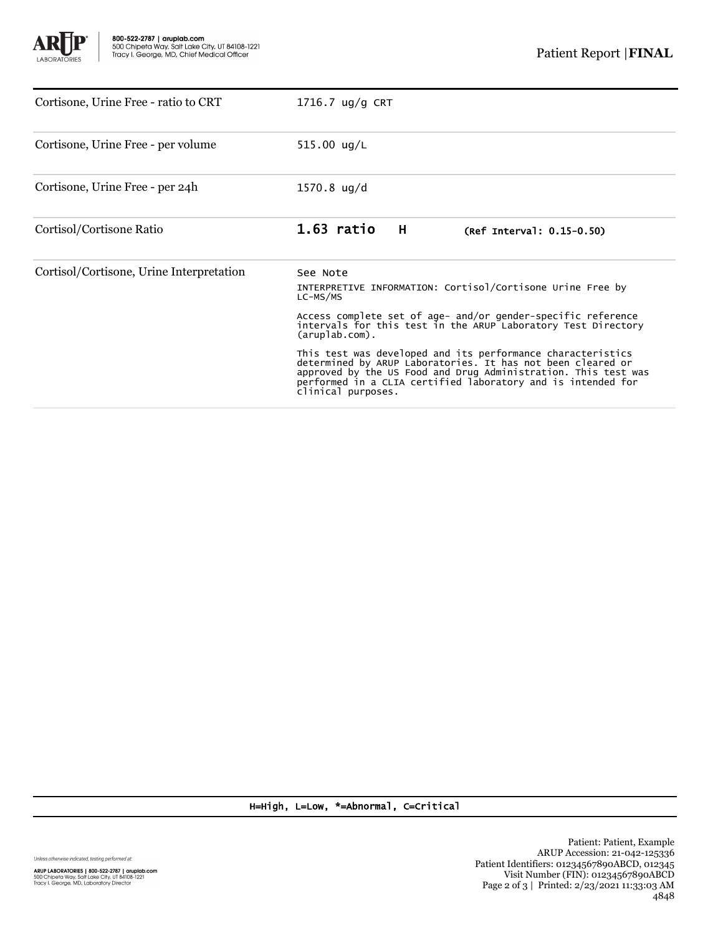

| Cortisone, Urine Free - ratio to CRT     | $1716.7$ ug/g CRT                                                                                                                                                                                                                                                                                              |  |  |
|------------------------------------------|----------------------------------------------------------------------------------------------------------------------------------------------------------------------------------------------------------------------------------------------------------------------------------------------------------------|--|--|
| Cortisone, Urine Free - per volume       | 515.00 $\frac{u}{L}$                                                                                                                                                                                                                                                                                           |  |  |
| Cortisone, Urine Free - per 24h          | $1570.8 \text{ ug/d}$                                                                                                                                                                                                                                                                                          |  |  |
| Cortisol/Cortisone Ratio                 | $1.63$ ratio<br>H<br>(Ref Interval: 0.15-0.50)                                                                                                                                                                                                                                                                 |  |  |
| Cortisol/Cortisone, Urine Interpretation | See Note<br>INTERPRETIVE INFORMATION: Cortisol/Cortisone Urine Free by<br>LC-MS/MS<br>Access complete set of age- and/or gender-specific reference<br>intervals for this test in the ARUP Laboratory Test Directory                                                                                            |  |  |
|                                          | $(\text{aruplab.com})$ .<br>This test was developed and its performance characteristics<br>determined by ARUP Laboratories. It has not been cleared or<br>approved by the US Food and Drug Administration. This test was<br>performed in a CLIA certified laboratory and is intended for<br>clinical purposes. |  |  |

H=High, L=Low, \*=Abnormal, C=Critical

Unless otherwise indicated, testing performed at: